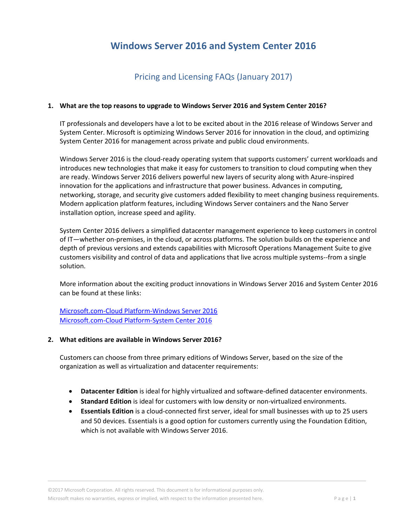# **Windows Server 2016 and System Center 2016**

## Pricing and Licensing FAQs (January 2017)

### **1. What are the top reasons to upgrade to Windows Server 2016 and System Center 2016?**

IT professionals and developers have a lot to be excited about in the 2016 release of Windows Server and System Center. Microsoft is optimizing Windows Server 2016 for innovation in the cloud, and optimizing System Center 2016 for management across private and public cloud environments.

Windows Server 2016 is the cloud-ready operating system that supports customers' current workloads and introduces new technologies that make it easy for customers to transition to cloud computing when they are ready. Windows Server 2016 delivers powerful new layers of security along with Azure-inspired innovation for the applications and infrastructure that power business. Advances in computing, networking, storage, and security give customers added flexibility to meet changing business requirements. Modern application platform features, including Windows Server containers and the Nano Server installation option, increase speed and agility.

System Center 2016 delivers a simplified datacenter management experience to keep customers in control of IT—whether on-premises, in the cloud, or across platforms. The solution builds on the experience and depth of previous versions and extends capabilities with Microsoft Operations Management Suite to give customers visibility and control of data and applications that live across multiple systems--from a single solution.

More information about the exciting product innovations in Windows Server 2016 and System Center 2016 can be found at these links:

[Microsoft.com-Cloud Platform-Windows Server 2016](https://www.microsoft.com/en-us/server-cloud/products/windows-server-2016/) [Microsoft.com-Cloud Platform-System Center 2016](https://www.microsoft.com/en-us/cloud-platform/system-center)

#### **2. What editions are available in Windows Server 2016?**

Customers can choose from three primary editions of Windows Server, based on the size of the organization as well as virtualization and datacenter requirements:

- **Datacenter Edition** is ideal for highly virtualized and software-defined datacenter environments.
- **Standard Edition** is ideal for customers with low density or non-virtualized environments.
- **Essentials Edition** is a cloud-connected first server, ideal for small businesses with up to 25 users and 50 devices. Essentials is a good option for customers currently using the Foundation Edition, which is not available with Windows Server 2016.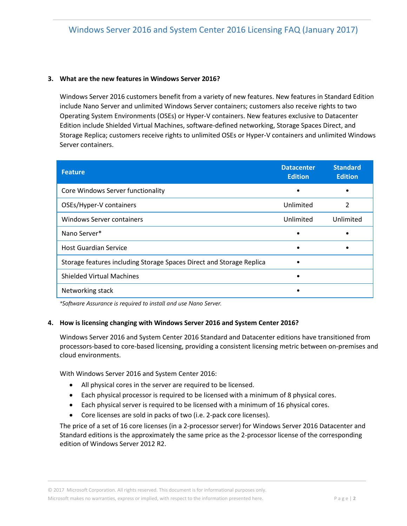## **3. What are the new features in Windows Server 2016?**

Windows Server 2016 customers benefit from a variety of new features. New features in Standard Edition include Nano Server and unlimited Windows Server containers; customers also receive rights to two Operating System Environments (OSEs) or Hyper-V containers. New features exclusive to Datacenter Edition include Shielded Virtual Machines, software-defined networking, Storage Spaces Direct, and Storage Replica; customers receive rights to unlimited OSEs or Hyper-V containers and unlimited Windows Server containers.

| <b>Feature</b>                                                       | <b>Datacenter</b><br><b>Edition</b> | <b>Standard</b><br><b>Edition</b> |
|----------------------------------------------------------------------|-------------------------------------|-----------------------------------|
| Core Windows Server functionality                                    |                                     |                                   |
| OSEs/Hyper-V containers                                              | Unlimited                           | $\overline{2}$                    |
| Windows Server containers                                            | Unlimited                           | Unlimited                         |
| Nano Server*                                                         | ٠                                   |                                   |
| <b>Host Guardian Service</b>                                         |                                     |                                   |
| Storage features including Storage Spaces Direct and Storage Replica |                                     |                                   |
| <b>Shielded Virtual Machines</b>                                     |                                     |                                   |
| Networking stack                                                     |                                     |                                   |

*\*Software Assurance is required to install and use Nano Server.* 

## **4. How is licensing changing with Windows Server 2016 and System Center 2016?**

Windows Server 2016 and System Center 2016 Standard and Datacenter editions have transitioned from processors-based to core-based licensing, providing a consistent licensing metric between on-premises and cloud environments.

With Windows Server 2016 and System Center 2016:

- All physical cores in the server are required to be licensed.
- Each physical processor is required to be licensed with a minimum of 8 physical cores.
- Each physical server is required to be licensed with a minimum of 16 physical cores.
- Core licenses are sold in packs of two (i.e. 2-pack core licenses).

The price of a set of 16 core licenses (in a 2-processor server) for Windows Server 2016 Datacenter and Standard editions is the approximately the same price as the 2-processor license of the corresponding edition of Windows Server 2012 R2.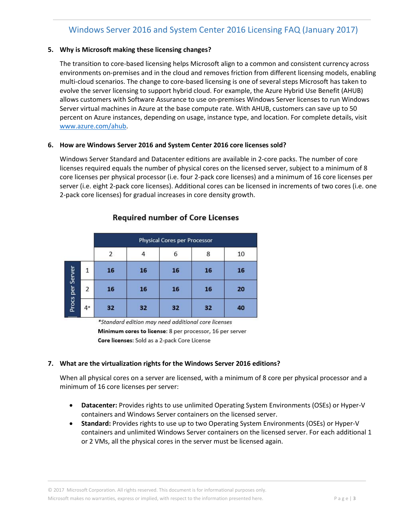## Windows Server 2016 and System Center 2016 Licensing FAQ (January 2017)

## **5. Why is Microsoft making these licensing changes?**

The transition to core-based licensing helps Microsoft align to a common and consistent currency across environments on-premises and in the cloud and removes friction from different licensing models, enabling multi-cloud scenarios. The change to core-based licensing is one of several steps Microsoft has taken to evolve the server licensing to support hybrid cloud. For example, the Azure Hybrid Use Benefit (AHUB) allows customers with Software Assurance to use on-premises Windows Server licenses to run Windows Server virtual machines in Azure at the base compute rate. With AHUB, customers can save up to 50 percent on Azure instances, depending on usage, instance type, and location. For complete details, visit [www.azure.com/ahub.](https://azure.microsoft.com/en-us/pricing/hybrid-use-benefit/)

#### **6. How are Windows Server 2016 and System Center 2016 core licenses sold?**

Windows Server Standard and Datacenter editions are available in 2-core packs. The number of core licenses required equals the number of physical cores on the licensed server, subject to a minimum of 8 core licenses per physical processor (i.e. four 2-pack core licenses) and a minimum of 16 core licenses per server (i.e. eight 2-pack core licenses). Additional cores can be licensed in increments of two cores (i.e. one 2-pack core licenses) for gradual increases in core density growth.

|                  |                | <b>Physical Cores per Processor</b> |    |    |    |    |  |
|------------------|----------------|-------------------------------------|----|----|----|----|--|
|                  |                | 2                                   |    | 6  | 8  | 10 |  |
| Procs per Server | 1              | 16                                  | 16 | 16 | 16 | 16 |  |
|                  | $\overline{2}$ | 16                                  | 16 | 16 | 16 | 20 |  |
|                  | $4*$           | 32                                  | 32 | 32 | 32 | 40 |  |

## **Required number of Core Licenses**

\*Standard edition may need additional core licenses Minimum cores to license: 8 per processor, 16 per server Core licenses: Sold as a 2-pack Core License

## **7. What are the virtualization rights for the Windows Server 2016 editions?**

When all physical cores on a server are licensed, with a minimum of 8 core per physical processor and a minimum of 16 core licenses per server:

- **Datacenter:** Provides rights to use unlimited Operating System Environments (OSEs) or Hyper-V containers and Windows Server containers on the licensed server.
- **Standard:** Provides rights to use up to two Operating System Environments (OSEs) or Hyper-V containers and unlimited Windows Server containers on the licensed server. For each additional 1 or 2 VMs, all the physical cores in the server must be licensed again.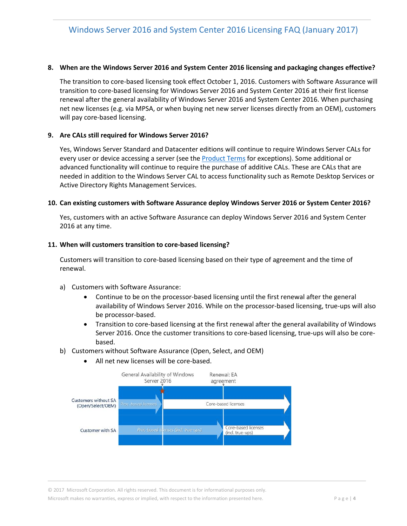### **8. When are the Windows Server 2016 and System Center 2016 licensing and packaging changes effective?**

The transition to core-based licensing took effect October 1, 2016. Customers with Software Assurance will transition to core-based licensing for Windows Server 2016 and System Center 2016 at their first license renewal after the general availability of Windows Server 2016 and System Center 2016. When purchasing net new licenses (e.g. via MPSA, or when buying net new server licenses directly from an OEM), customers will pay core-based licensing.

## **9. Are CALs still required for Windows Server 2016?**

Yes, Windows Server Standard and Datacenter editions will continue to require Windows Server CALs for every user or device accessing a server (see the [Product Terms](https://www.microsoft.com/en-us/Licensing/product-licensing/products.aspx#T) for exceptions). Some additional or advanced functionality will continue to require the purchase of additive CALs. These are CALs that are needed in addition to the Windows Server CAL to access functionality such as Remote Desktop Services or Active Directory Rights Management Services.

#### **10. Can existing customers with Software Assurance deploy Windows Server 2016 or System Center 2016?**

Yes, customers with an active Software Assurance can deploy Windows Server 2016 and System Center 2016 at any time.

#### **11. When will customers transition to core-based licensing?**

Customers will transition to core-based licensing based on their type of agreement and the time of renewal.

- a) Customers with Software Assurance:
	- Continue to be on the processor-based licensing until the first renewal after the general availability of Windows Server 2016. While on the processor-based licensing, true-ups will also be processor-based.
	- Transition to core-based licensing at the first renewal after the general availability of Windows Server 2016. Once the customer transitions to core-based licensing, true-ups will also be corebased.
- b) Customers without Software Assurance (Open, Select, and OEM)



All net new licenses will be core-based.

© 2017 Microsoft Corporation. All rights reserved. This document is for informational purposes only. Microsoft makes no warranties, express or implied, with respect to the information presented here. P a g e | 4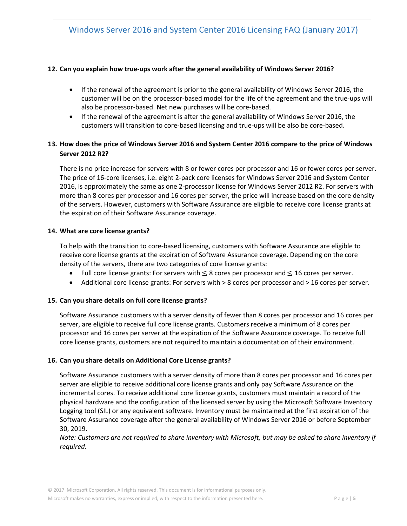## **12. Can you explain how true-ups work after the general availability of Windows Server 2016?**

- If the renewal of the agreement is prior to the general availability of Windows Server 2016, the customer will be on the processor-based model for the life of the agreement and the true-ups will also be processor-based. Net new purchases will be core-based.
- If the renewal of the agreement is after the general availability of Windows Server 2016, the customers will transition to core-based licensing and true-ups will be also be core-based.

## **13. How does the price of Windows Server 2016 and System Center 2016 compare to the price of Windows Server 2012 R2?**

There is no price increase for servers with 8 or fewer cores per processor and 16 or fewer cores per server. The price of 16-core licenses, i.e. eight 2-pack core licenses for Windows Server 2016 and System Center 2016, is approximately the same as one 2-processor license for Windows Server 2012 R2. For servers with more than 8 cores per processor and 16 cores per server, the price will increase based on the core density of the servers. However, customers with Software Assurance are eligible to receive core license grants at the expiration of their Software Assurance coverage.

#### **14. What are core license grants?**

To help with the transition to core-based licensing, customers with Software Assurance are eligible to receive core license grants at the expiration of Software Assurance coverage. Depending on the core density of the servers, there are two categories of core license grants:

- Full core license grants: For servers with  $\leq$  8 cores per processor and  $\leq$  16 cores per server.
- Additional core license grants: For servers with > 8 cores per processor and > 16 cores per server.

## **15. Can you share details on full core license grants?**

Software Assurance customers with a server density of fewer than 8 cores per processor and 16 cores per server, are eligible to receive full core license grants. Customers receive a minimum of 8 cores per processor and 16 cores per server at the expiration of the Software Assurance coverage. To receive full core license grants, customers are not required to maintain a documentation of their environment.

## **16. Can you share details on Additional Core License grants?**

Software Assurance customers with a server density of more than 8 cores per processor and 16 cores per server are eligible to receive additional core license grants and only pay Software Assurance on the incremental cores. To receive additional core license grants, customers must maintain a record of the physical hardware and the configuration of the licensed server by using the Microsoft Software Inventory Logging tool (SIL) or any equivalent software. Inventory must be maintained at the first expiration of the Software Assurance coverage after the general availability of Windows Server 2016 or before September 30, 2019.

*Note: Customers are not required to share inventory with Microsoft, but may be asked to share inventory if required.*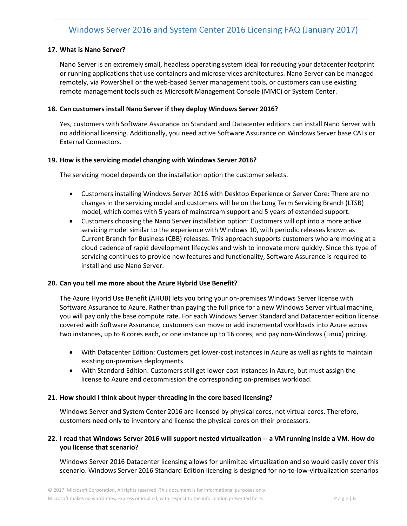## Windows Server 2016 and System Center 2016 Licensing FAQ (January 2017)

### **17. What is Nano Server?**

Nano Server is an extremely small, headless operating system ideal for reducing your datacenter footprint or running applications that use containers and microservices architectures. Nano Server can be managed remotely, via PowerShell or the web-based Server management tools, or customers can use existing remote management tools such as Microsoft Management Console (MMC) or System Center.

#### **18. Can customers install Nano Server if they deploy Windows Server 2016?**

Yes, customers with Software Assurance on Standard and Datacenter editions can install Nano Server with no additional licensing. Additionally, you need active Software Assurance on Windows Server base CALs or External Connectors.

#### **19. How is the servicing model changing with Windows Server 2016?**

The servicing model depends on the installation option the customer selects.

- Customers installing Windows Server 2016 with Desktop Experience or Server Core: There are no changes in the servicing model and customers will be on the Long Term Servicing Branch (LTSB) model, which comes with 5 years of mainstream support and 5 years of extended support.
- Customers choosing the Nano Server installation option: Customers will opt into a more active servicing model similar to the experience with Windows 10, with periodic releases known as Current Branch for Business (CBB) releases. This approach supports customers who are moving at a cloud cadence of rapid development lifecycles and wish to innovate more quickly. Since this type of servicing continues to provide new features and functionality, Software Assurance is required to install and use Nano Server.

#### **20. Can you tell me more about the Azure Hybrid Use Benefit?**

The Azure Hybrid Use Benefit (AHUB) lets you bring your on-premises Windows Server license with Software Assurance to Azure. Rather than paying the full price for a new Windows Server virtual machine, you will pay only the base compute rate. For each Windows Server Standard and Datacenter edition license covered with Software Assurance, customers can move or add incremental workloads into Azure across two instances, up to 8 cores each, or one instance up to 16 cores, and pay non-Windows (Linux) pricing.

- With Datacenter Edition: Customers get lower-cost instances in Azure as well as rights to maintain existing on-premises deployments.
- With Standard Edition: Customers still get lower-cost instances in Azure, but must assign the license to Azure and decommission the corresponding on-premises workload.

#### **21. How should I think about hyper-threading in the core based licensing?**

Windows Server and System Center 2016 are licensed by physical cores, not virtual cores. Therefore, customers need only to inventory and license the physical cores on their processors.

## **22. I read that Windows Server 2016 will support nested virtualization -- a VM running inside a VM. How do you license that scenario?**

Windows Server 2016 Datacenter licensing allows for unlimited virtualization and so would easily cover this scenario. Windows Server 2016 Standard Edition licensing is designed for no-to-low-virtualization scenarios